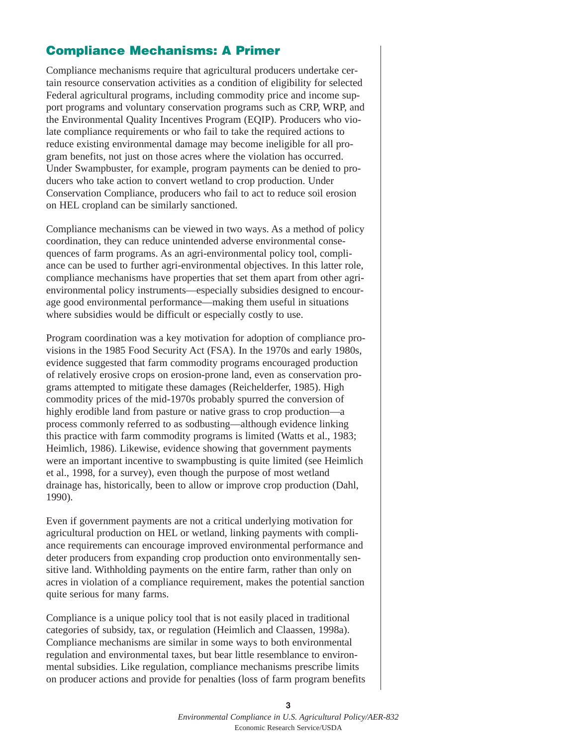## **Compliance Mechanisms: A Primer**

Compliance mechanisms require that agricultural producers undertake certain resource conservation activities as a condition of eligibility for selected Federal agricultural programs, including commodity price and income support programs and voluntary conservation programs such as CRP, WRP, and the Environmental Quality Incentives Program (EQIP). Producers who violate compliance requirements or who fail to take the required actions to reduce existing environmental damage may become ineligible for all program benefits, not just on those acres where the violation has occurred. Under Swampbuster, for example, program payments can be denied to producers who take action to convert wetland to crop production. Under Conservation Compliance, producers who fail to act to reduce soil erosion on HEL cropland can be similarly sanctioned.

Compliance mechanisms can be viewed in two ways. As a method of policy coordination, they can reduce unintended adverse environmental consequences of farm programs. As an agri-environmental policy tool, compliance can be used to further agri-environmental objectives. In this latter role, compliance mechanisms have properties that set them apart from other agrienvironmental policy instruments—especially subsidies designed to encourage good environmental performance—making them useful in situations where subsidies would be difficult or especially costly to use.

Program coordination was a key motivation for adoption of compliance provisions in the 1985 Food Security Act (FSA). In the 1970s and early 1980s, evidence suggested that farm commodity programs encouraged production of relatively erosive crops on erosion-prone land, even as conservation programs attempted to mitigate these damages (Reichelderfer, 1985). High commodity prices of the mid-1970s probably spurred the conversion of highly erodible land from pasture or native grass to crop production—a process commonly referred to as sodbusting—although evidence linking this practice with farm commodity programs is limited (Watts et al., 1983; Heimlich, 1986). Likewise, evidence showing that government payments were an important incentive to swampbusting is quite limited (see Heimlich et al., 1998, for a survey), even though the purpose of most wetland drainage has, historically, been to allow or improve crop production (Dahl, 1990).

Even if government payments are not a critical underlying motivation for agricultural production on HEL or wetland, linking payments with compliance requirements can encourage improved environmental performance and deter producers from expanding crop production onto environmentally sensitive land. Withholding payments on the entire farm, rather than only on acres in violation of a compliance requirement, makes the potential sanction quite serious for many farms.

Compliance is a unique policy tool that is not easily placed in traditional categories of subsidy, tax, or regulation (Heimlich and Claassen, 1998a). Compliance mechanisms are similar in some ways to both environmental regulation and environmental taxes, but bear little resemblance to environmental subsidies. Like regulation, compliance mechanisms prescribe limits on producer actions and provide for penalties (loss of farm program benefits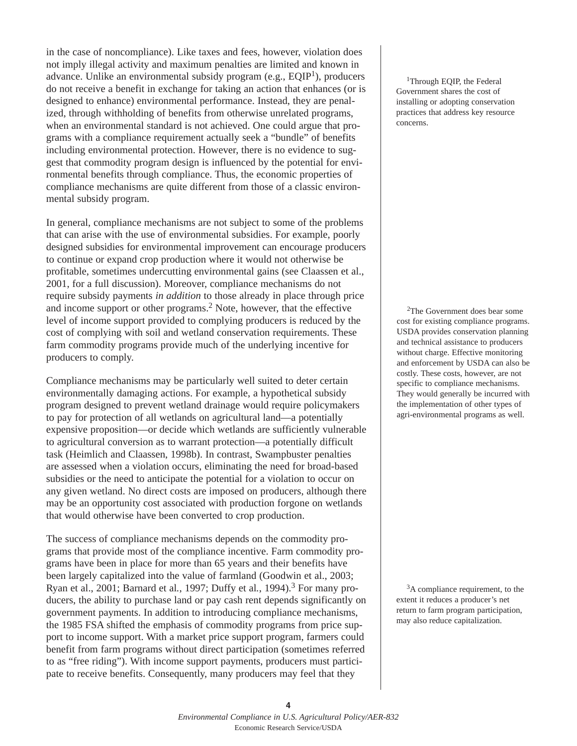in the case of noncompliance). Like taxes and fees, however, violation does not imply illegal activity and maximum penalties are limited and known in advance. Unlike an environmental subsidy program (e.g.,  $EQIP<sup>1</sup>$ ), producers do not receive a benefit in exchange for taking an action that enhances (or is designed to enhance) environmental performance. Instead, they are penalized, through withholding of benefits from otherwise unrelated programs, when an environmental standard is not achieved. One could argue that programs with a compliance requirement actually seek a "bundle" of benefits including environmental protection. However, there is no evidence to suggest that commodity program design is influenced by the potential for environmental benefits through compliance. Thus, the economic properties of compliance mechanisms are quite different from those of a classic environmental subsidy program.

In general, compliance mechanisms are not subject to some of the problems that can arise with the use of environmental subsidies. For example, poorly designed subsidies for environmental improvement can encourage producers to continue or expand crop production where it would not otherwise be profitable, sometimes undercutting environmental gains (see Claassen et al., 2001, for a full discussion). Moreover, compliance mechanisms do not require subsidy payments *in addition* to those already in place through price and income support or other programs.2 Note, however, that the effective level of income support provided to complying producers is reduced by the cost of complying with soil and wetland conservation requirements. These farm commodity programs provide much of the underlying incentive for producers to comply.

Compliance mechanisms may be particularly well suited to deter certain environmentally damaging actions. For example, a hypothetical subsidy program designed to prevent wetland drainage would require policymakers to pay for protection of all wetlands on agricultural land—a potentially expensive proposition—or decide which wetlands are sufficiently vulnerable to agricultural conversion as to warrant protection—a potentially difficult task (Heimlich and Claassen, 1998b). In contrast, Swampbuster penalties are assessed when a violation occurs, eliminating the need for broad-based subsidies or the need to anticipate the potential for a violation to occur on any given wetland. No direct costs are imposed on producers, although there may be an opportunity cost associated with production forgone on wetlands that would otherwise have been converted to crop production.

The success of compliance mechanisms depends on the commodity programs that provide most of the compliance incentive. Farm commodity programs have been in place for more than 65 years and their benefits have been largely capitalized into the value of farmland (Goodwin et al., 2003; Ryan et al., 2001; Barnard et al*.*, 1997; Duffy et al*.*, 1994).<sup>3</sup> For many producers, the ability to purchase land or pay cash rent depends significantly on government payments. In addition to introducing compliance mechanisms, the 1985 FSA shifted the emphasis of commodity programs from price support to income support. With a market price support program, farmers could benefit from farm programs without direct participation (sometimes referred to as "free riding"). With income support payments, producers must participate to receive benefits. Consequently, many producers may feel that they

<sup>1</sup>Through EQIP, the Federal Government shares the cost of installing or adopting conservation practices that address key resource concerns.

2The Government does bear some cost for existing compliance programs. USDA provides conservation planning and technical assistance to producers without charge. Effective monitoring and enforcement by USDA can also be costly. These costs, however, are not specific to compliance mechanisms. They would generally be incurred with the implementation of other types of agri-environmental programs as well.

<sup>3</sup>A compliance requirement, to the extent it reduces a producer's net return to farm program participation, may also reduce capitalization.